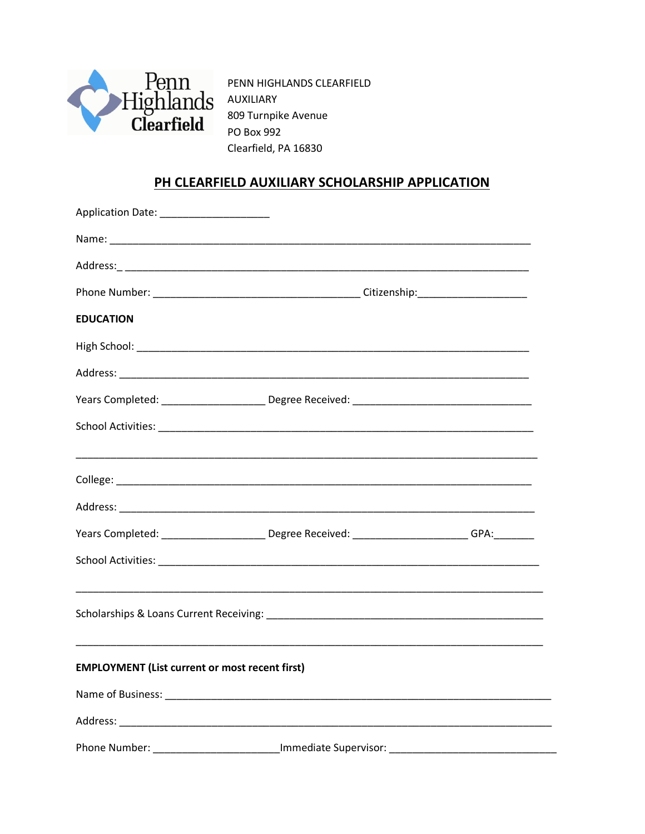

PENN HIGHLANDS CLEARFIELD 809 Turnpike Avenue PO Box 992 Clearfield, PA 16830

## PH CLEARFIELD AUXILIARY SCHOLARSHIP APPLICATION

| Application Date: ______________________              |                                                                                               |
|-------------------------------------------------------|-----------------------------------------------------------------------------------------------|
|                                                       |                                                                                               |
|                                                       |                                                                                               |
|                                                       |                                                                                               |
| <b>EDUCATION</b>                                      |                                                                                               |
|                                                       |                                                                                               |
|                                                       |                                                                                               |
|                                                       |                                                                                               |
|                                                       |                                                                                               |
|                                                       |                                                                                               |
|                                                       |                                                                                               |
|                                                       | Years Completed: _______________________Degree Received: _______________________GPA:_________ |
|                                                       |                                                                                               |
|                                                       |                                                                                               |
| <b>EMPLOYMENT (List current or most recent first)</b> |                                                                                               |
|                                                       |                                                                                               |
|                                                       |                                                                                               |
| Phone Number:                                         | __________________________Immediate Supervisor:                                               |